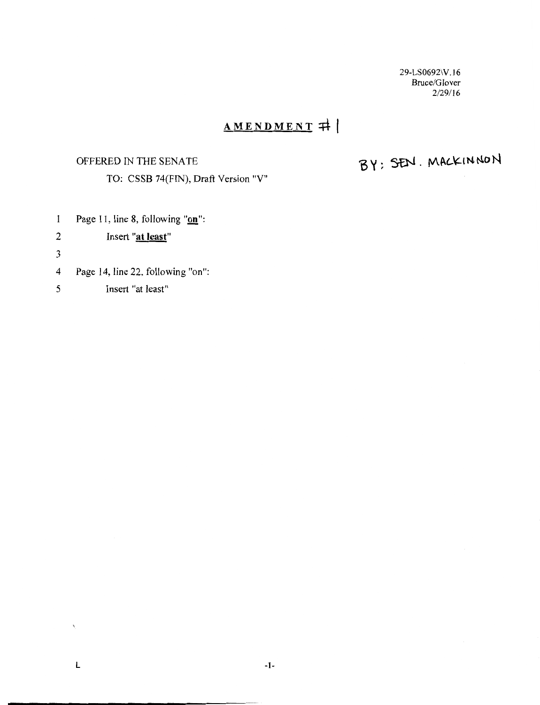29-LS0692\V. l 6 Bruce/Glover 2/29/16

## **AMENDMENT ::+t-1**

#### OFFERED IN THE SENATE

TO: CSSB 74(FIN), Draft Version "V"

# BY: SEN. MACKINNON

- Page 11, line 8, following "on":  $\mathbf{1}$
- 2 Insert **"at least"**
- 3
- 4 Page 14, line 22, following "on":
- *5* Insert "at least"

 $\bar{\mathbf{r}}$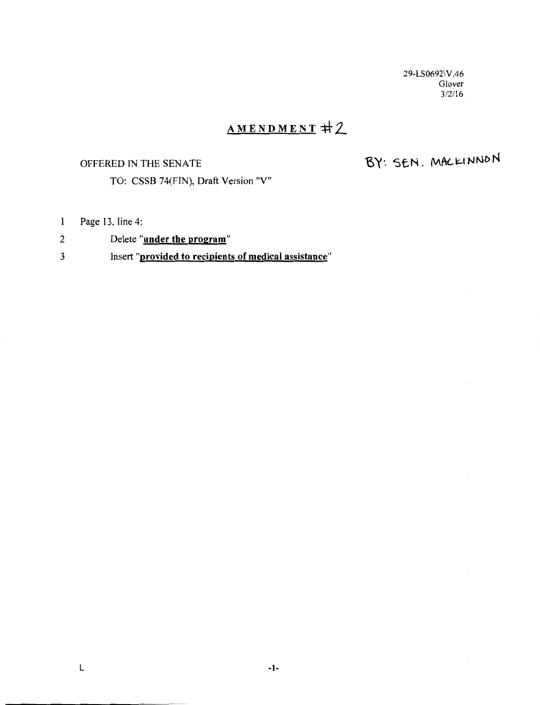29-LS0692\V.46 Glover 3/2/16

## AMENDMENT #2

#### OFFERED IN THE SENATE

BY: SEN. MACKINNON

TO: CSSB 74(FIN), Draft Version "V"

- Page 13, line 4:  $\mathbf{1}$
- 2 Delete "under the program"

### 3 Insert "provided to recipients of medical assistance"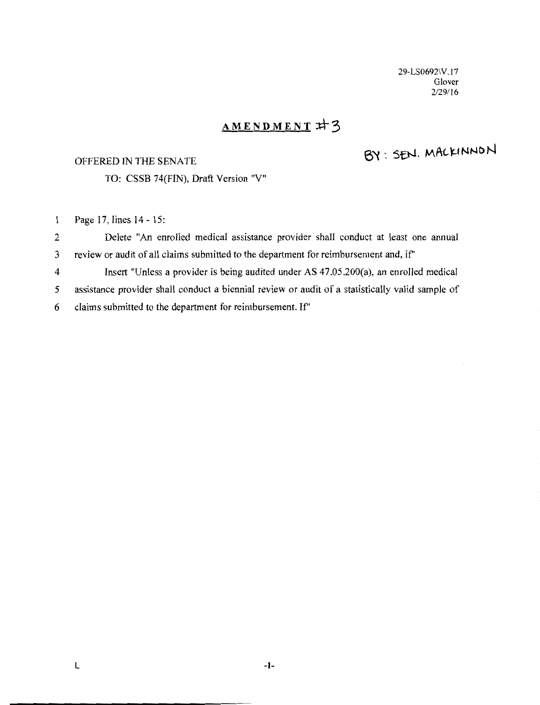29-LS0692\V. l 7 Glover 2/29/16

## AMENDMENT #3

## OFFERED IN THE SENATE

BY: SEN. MACKINNON

TO: CSSB 74(FIN), Draft Version "V"

Page 17, lines 14- 15:  $\mathbf{1}$ 

2 Delete "An enrolled medical assistance provider shall conduct at least one annual 3 review or audit of all claims submitted to the department for reimbursement and, if'

4 Insert "Unless a provider is being audited under AS 47.05.200(a), an enrolled medical 5 assistance provider shall conduct a biennial review or audit of a statistically valid sample of 6 claims submitted to the department for reimbursement. If'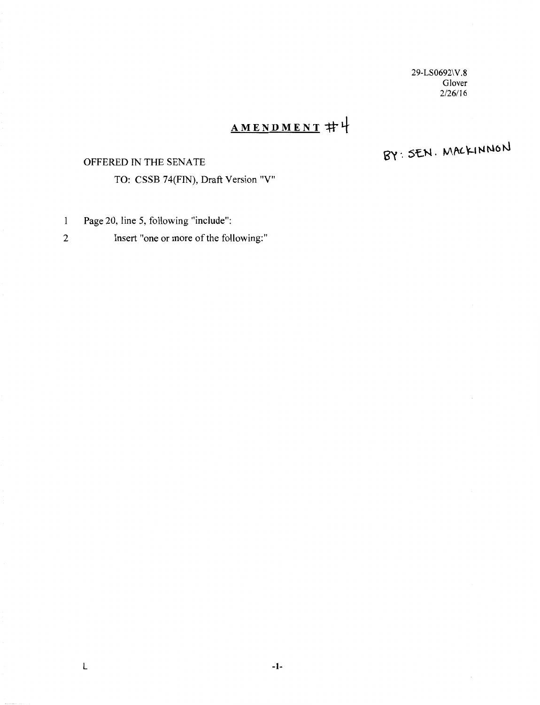29-LS0692\V.8 Glover 2/26/16

## AMENDMENT #나

### OFFERED IN THE SENATE

BY: SEN. MACKINNON

- Page 20, line 5, following "include":  $\,1$
- 2 Insert "one or more of the following:"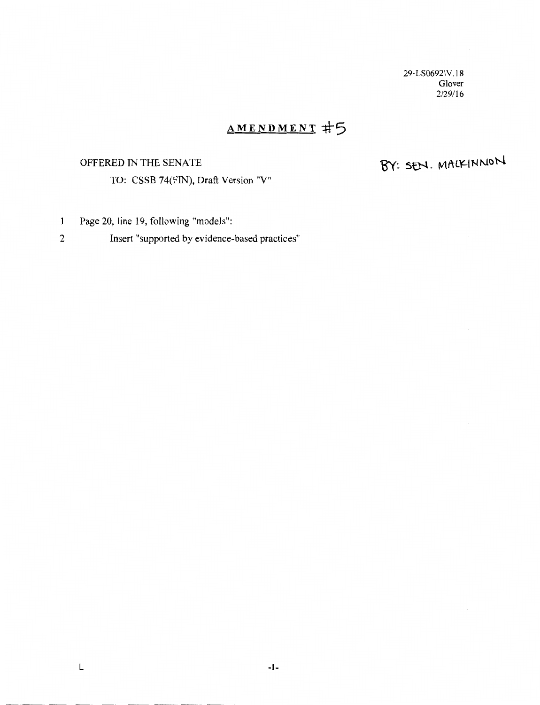29-LS0692\V. I 8 Glover 2/29/16

## **AMENDMENT :ff-5**

## OFFERED IN THE SENATE

TO: CSSB 74(FIN), Draft Version "V"

# BY: SEN. MACKINNON

- Page 20, line 19, following "models":  $\mathbf{1}$
- 2 Insert "supported by evidence-based practices"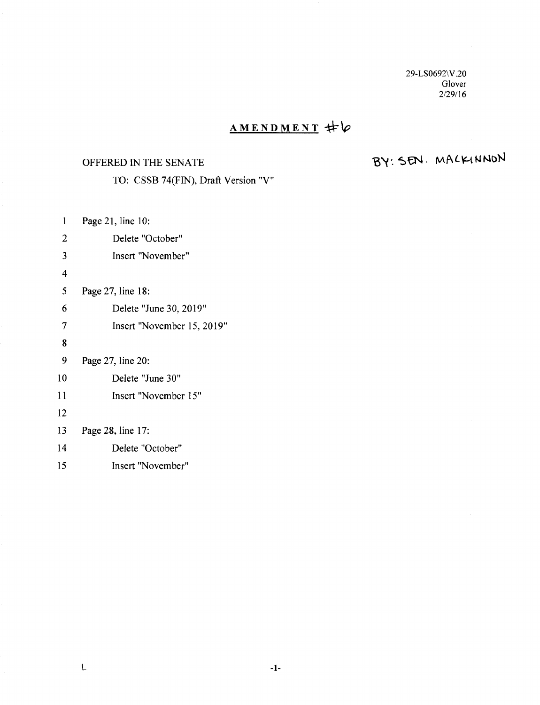29-LS0692\V.20 Glover 2/29/16

## **AMENDMENT** *\*\p*

#### OFFERED IN THE SENATE

BY: SEN. MACKINNON

TO: CSSB 74(FIN), Draft Version "V"

1 2 3 4 5 6 7 8 9 10 11 12 13 14 15 Page 21, line 10: Delete "October" Insert "November" Page 27, line 18: Delete "June 30, 2019" Insert "November 15, 2019" Page 27, line 20: Delete "June 30" Insert "November 15" Page 28, line 17: Delete "October" Insert "November"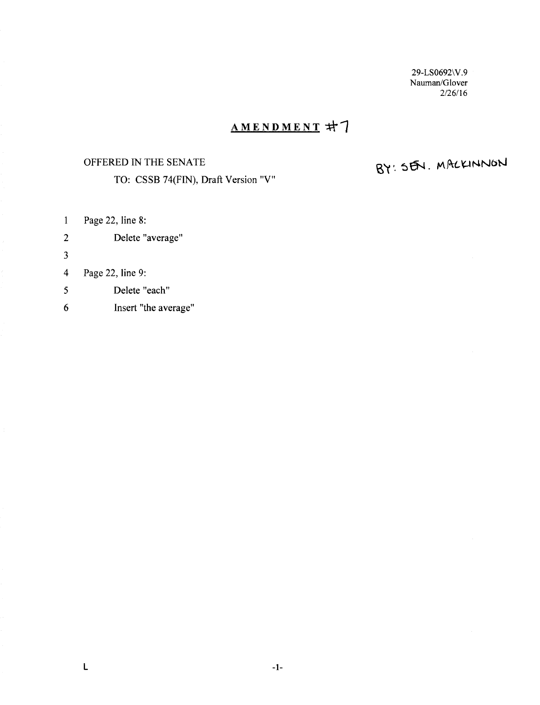29-LS0692\ V.9 Nauman/Glover 2/26/16

## AMENDMENT #7

## OFFERED IN THE SENATE

TO: CSSB 74(FIN), Draft Version "V"

# BY: SEN. MACKINNON

1 Page 22, line 8:

- 2 Delete "average"
- 3

#### 4 Page 22, line 9:

- 5 Delete "each"
- 6 Insert "the average"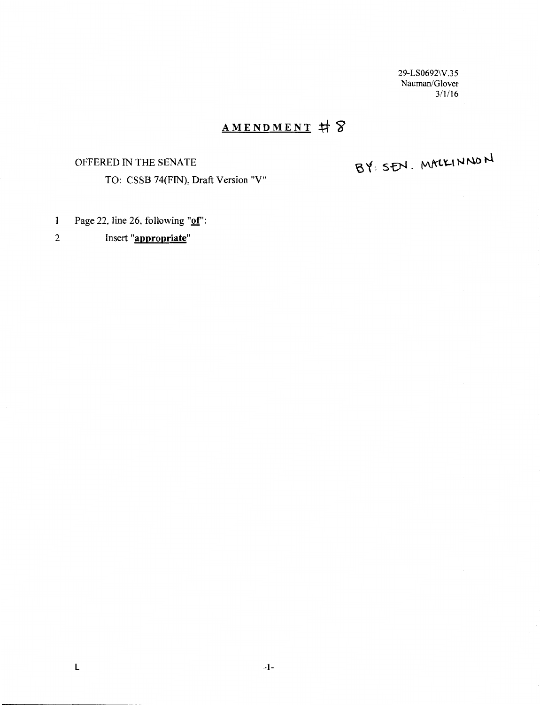29-LS0692\V.35 Nauman/Glover  $3/1/16$ 

## **AMENDMENT +f" 5J**

### OFFERED IN THE SENATE

BY: SEN. MACKINNON

- 1 Page 22, line 26, following **"of':**
- 2 Insert **"appropriate"**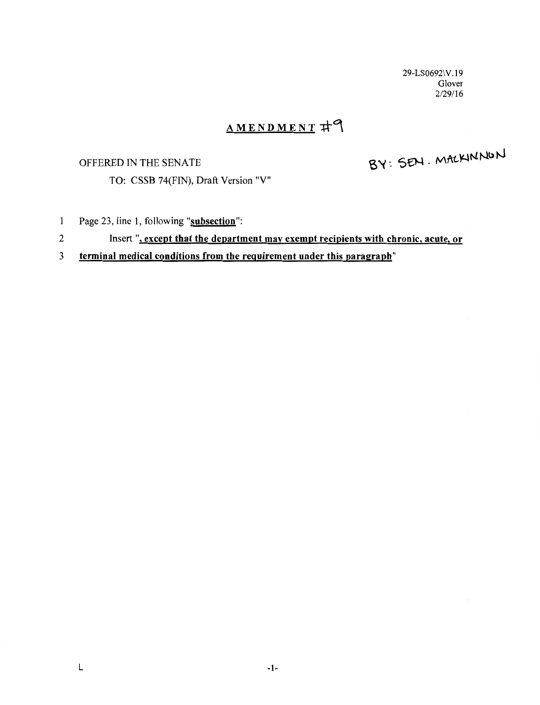29-LS0692\V.19 Glover 2/29116

## AMENDMENT #9

## OFFERED IN THE SENATE

BY: SEN. MACKINNON

TO: CSSB 74(FIN), Draft Version "V"

- 1 Page 23, line 1, following "subsection":
- 2 Insert", except that the department may exempt recipients with chronic, acute, or

## 3 terminal medical conditions from the requirement under this paragraph"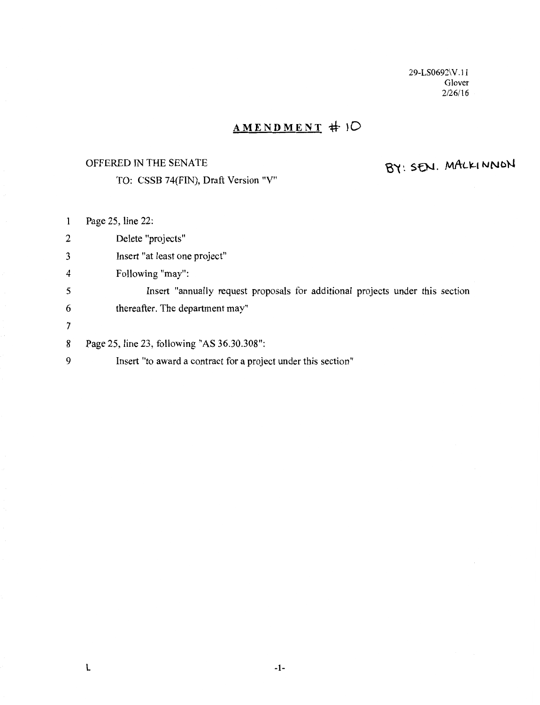29-LS0692\V. l l Glover  $2/26/16$ 

## AMENDMENT # 10

## OFFERED IN THE SENATE

TO: CSSB 74(FIN), Draft Version "V"

# BY: SEN. MALKINNON

| $\mathbf{1}$   | Page 25, line 22:                                                             |
|----------------|-------------------------------------------------------------------------------|
| 2              | Delete "projects"                                                             |
| 3              | Insert "at least one project"                                                 |
| 4              | Following "may":                                                              |
| 5              | Insert "annually request proposals for additional projects under this section |
| 6              | thereafter. The department may"                                               |
| $\overline{7}$ |                                                                               |
| 8              | Page 25, line 23, following "AS 36.30.308":                                   |
| 9              | Insert "to award a contract for a project under this section"                 |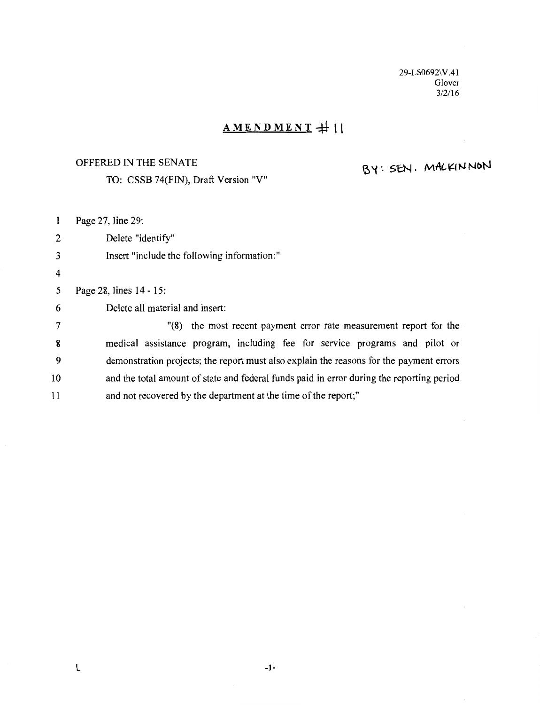29-LS0692\V.41 Glover  $3/2/16$ 

## $AMENDMENT+1$

#### OFFERED IN THE SENATE

TO: CSSB 74(FIN), Draft Version "V"

## BY: SEN. MACKINNON

1 Page 27, line 29:

2 Delete "identify"

#### 3 Insert "include the following information:"

4

5 Page 28, lines 14 - 15:

6 Delete all material and insert:

7 "(8) the most recent payment error rate measurement report for the 8 medical assistance program, including fee for service programs and pilot or 9 demonstration projects; the report must also explain the reasons for the payment errors 10 and the total amount of state and federal funds paid in error during the reporting period 11 and not recovered by the department at the time of the report;"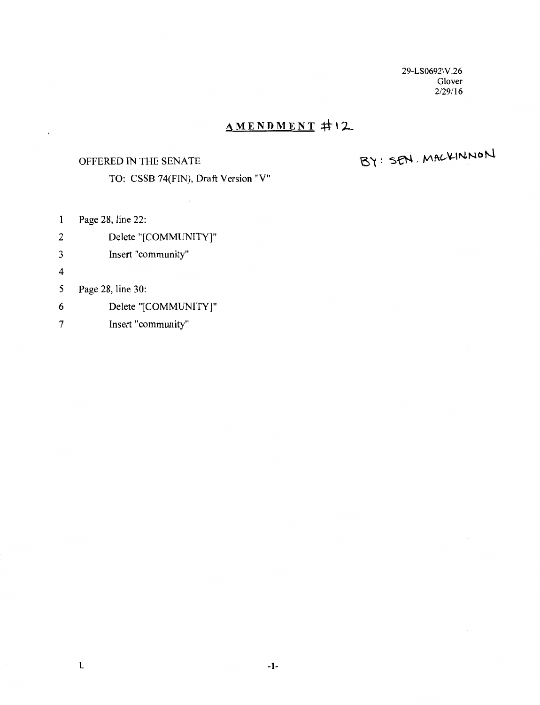29-LS0692\V.26 Glover 2/29/16

## $AMENDMENT$   $\#$ 12

#### OFFERED IN THE SENATE

# BY: SEN. MACKINNON

TO: CSSB 74(FIN), Draft Version "V"

- 1 Page 28, line 22:
- 2 Delete "[COMMUNITY]"
- 3 Insert "community"
- 4

 $\mathbf{r}$ 

#### 5 Page 28, line 30:

- 6 Delete "[COMMUNITY]"
- 7 Insert "community"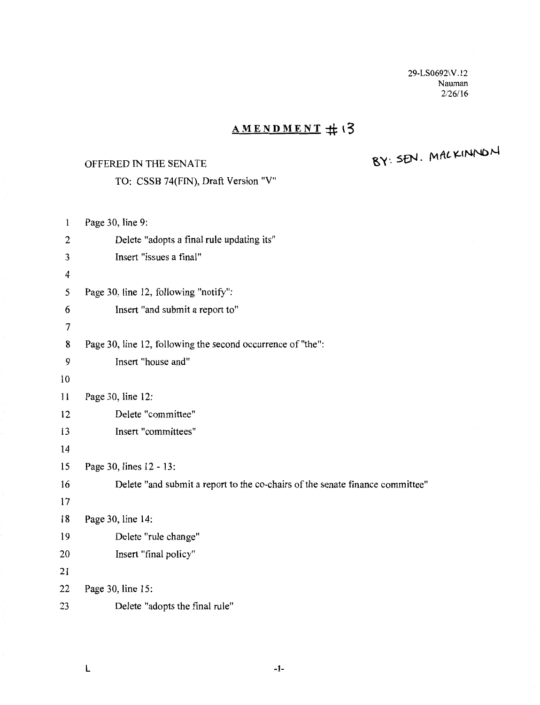29-LS0692\V.12 Nauman 2/26/16

## **AMENDMENT** # 13

## OFFERED IN THE SENATE

 $RY:$  SEN. MALKINNON

| $\mathbf{1}$ | Page 30, line 9:                                                              |
|--------------|-------------------------------------------------------------------------------|
| 2            | Delete "adopts a final rule updating its"                                     |
| 3            | Insert "issues a final"                                                       |
| 4            |                                                                               |
| 5            | Page 30, line 12, following "notify":                                         |
| 6            | Insert "and submit a report to"                                               |
| 7            |                                                                               |
| 8            | Page 30, line 12, following the second occurrence of "the":                   |
| 9            | Insert "house and"                                                            |
| 10           |                                                                               |
| 11           | Page 30, line 12:                                                             |
| 12           | Delete "committee"                                                            |
| 13           | Insert "committees"                                                           |
| 14           |                                                                               |
| 15           | Page 30, lines 12 - 13:                                                       |
| 16           | Delete "and submit a report to the co-chairs of the senate finance committee" |
| 17           |                                                                               |
| 18           | Page 30, line 14:                                                             |
| 19           | Delete "rule change"                                                          |
| 20           | Insert "final policy"                                                         |
| 21           |                                                                               |
| 22           | Page 30, line 15:                                                             |
| 23           | Delete "adopts the final rule"                                                |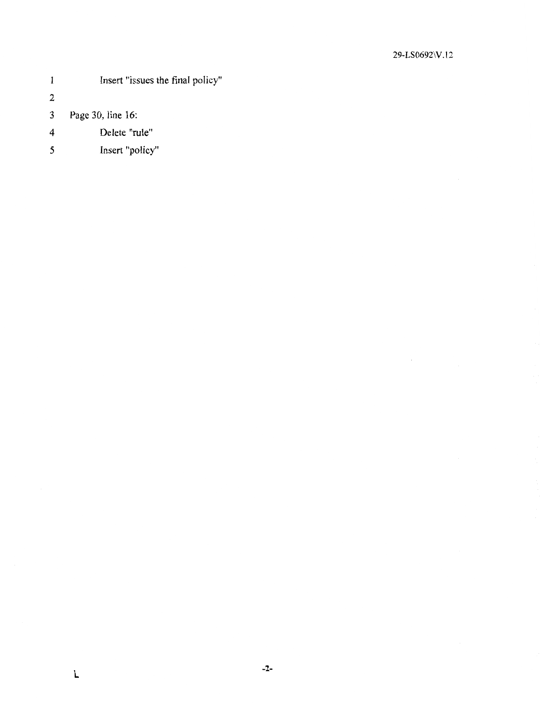- 1 **Insert "issues the final policy"** 2 3 Page 30, line 16: 4 Delete "rule"
- 5 Insert "policy"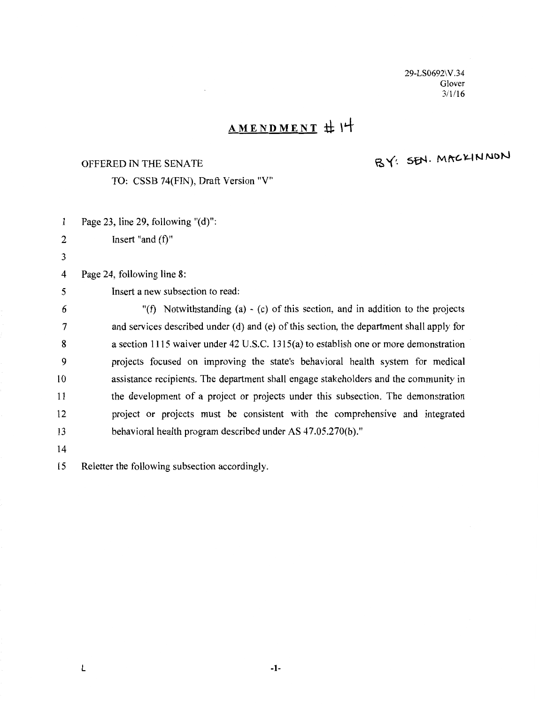29-LS0692\V.34 Glover 3/1116

# **AMENDMENT :t\: \4-**

#### OFFERED IN THE SENATE

BY: SEN. MACKINNON

TO: CSSB 74(FIN), Draft Version "V"

| 1  | Page 23, line 29, following $"(\mathbf{d})"$ :                                           |
|----|------------------------------------------------------------------------------------------|
| 2  | Insert "and $(f)$ "                                                                      |
| 3  |                                                                                          |
| 4  | Page 24, following line 8:                                                               |
| 5  | Insert a new subsection to read:                                                         |
| 6  | "(f) Notwithstanding (a) - (c) of this section, and in addition to the projects          |
| 7  | and services described under (d) and (e) of this section, the department shall apply for |
| 8  | a section 1115 waiver under 42 U.S.C. 1315(a) to establish one or more demonstration     |
| 9  | projects focused on improving the state's behavioral health system for medical           |
| 10 | assistance recipients. The department shall engage stakeholders and the community in     |
| 11 | the development of a project or projects under this subsection. The demonstration        |
| 12 | project or projects must be consistent with the comprehensive and integrated             |
| 13 | behavioral health program described under AS 47.05.270(b)."                              |
| 14 |                                                                                          |
|    |                                                                                          |

15 Reletter the following subsection accordingly.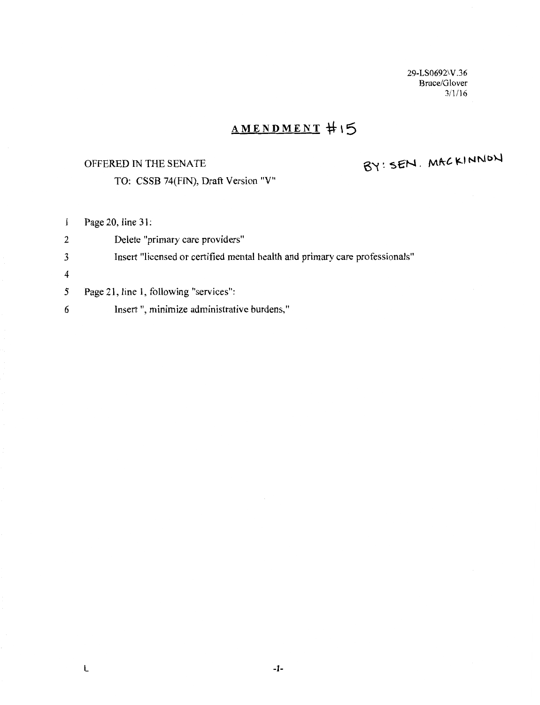29-LS0692\V.36 Bruce/Glover 311/16

## **AMENDMENT :\f \5**

#### OFFERED IN THE SENATE

BY: SEN. MACKINNON

TO: CSSB 74(FIN), Draft Version "V"

1 Page 20, line 31:

2 Delete "primary care providers" 3 Insert "licensed or certified mental health and primary care professionals" 4 5 Page 21, line 1, following "services":

6 Insert ", minimize administrative burdens,"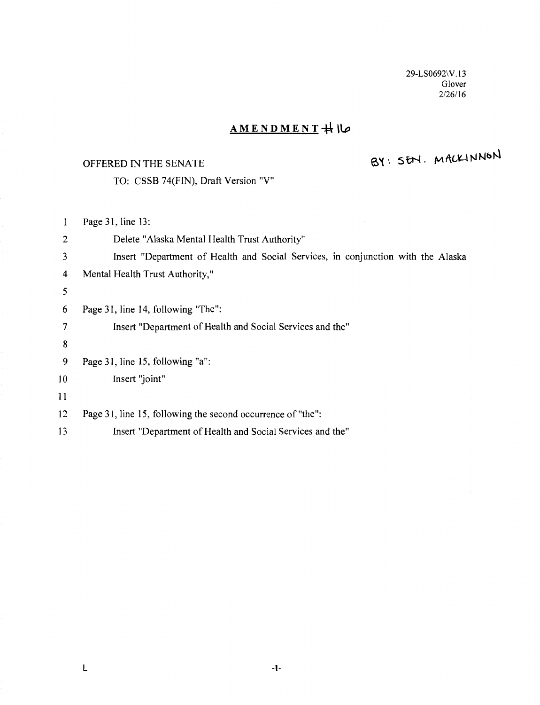29-LS0692\V.13 Glover 2/26/16

## $AMENDMENT$  +  $\lozenge$

#### OFFERED IN THE SENATE

# BY: SEN. MACKINNON

TO: CSSB 74(FIN), Draft Version "V"

Page 31, line 13:  $\mathbf{1}$ 2 Delete "Alaska Mental Health Trust Authority" 3 Insert "Department of Health and Social Services, in conjunction with the Alaska 4 Mental Health Trust Authority," *5*  6 Page 31, line 14, following "The": 7 Insert "Department of Health and Social Services and the" 8 9 Page 31, line 15, following "a": 10 Insert "joint" 11 12 Page 31, line 15, following the second occurrence of"the": 13 Insert "Department of Health and Social Services and the"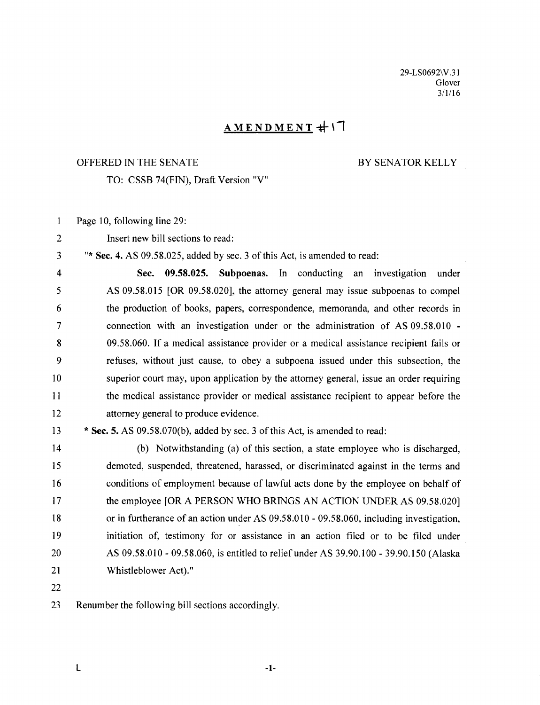29-LS0692\V.3 l Glover 3/1/16

## $AMENDMENT$  $\pm$

#### OFFERED IN THE SENATE BY SENATOR KELLY

TO: CSSB 74(FIN), Draft Version "V"

- $\mathbf{1}$ Page 10, following line 29:
- 2 Insert new bill sections to read:

3 "\*Sec. 4. AS 09.58.025, added by sec. 3 of this Act, is amended to read:

4 Sec. 09.58.025. Subpoenas. In conducting an investigation under 5 AS 09.58.015 [OR 09.58.020], the attorney general may issue subpoenas to compel 6 the production of books, papers, correspondence, memoranda, and other records in 7 connection with an investigation under or the administration of AS 09.58.010 - 8 09.58.060. If a medical assistance provider or a medical assistance recipient fails or 9 refuses, without just cause, to obey a subpoena issued under this subsection, the 10 superior court may, upon application by the attorney general, issue an order requiring 11 the medical assistance provider or medical assistance recipient to appear before the 12 attorney general to produce evidence.

13 \*Sec. 5. AS 09.58.070(b), added by sec. 3 of this Act, is amended to read:

14 (b) Notwithstanding (a) of this section, a state employee who is discharged, 15 demoted, suspended, threatened, harassed, or discriminated against in the terms and 16 conditions of employment because of lawful acts done by the employee on behalf of 17 the employee [OR A PERSON WHO BRINGS AN ACTION UNDER AS 09.58.020] 18 or in furtherance of an action under AS 09.58.010- 09.58.060, including investigation, 19 initiation of, testimony for or assistance in an action filed or to be filed under 20 AS 09.58.010 - 09.58.060, is entitled to relief under AS 39.90.100 - 39.90.150 (Alaska 21 Whistleblower Act)."

22

23 Renumber the following bill sections accordingly.

 $\mathsf L$  -1-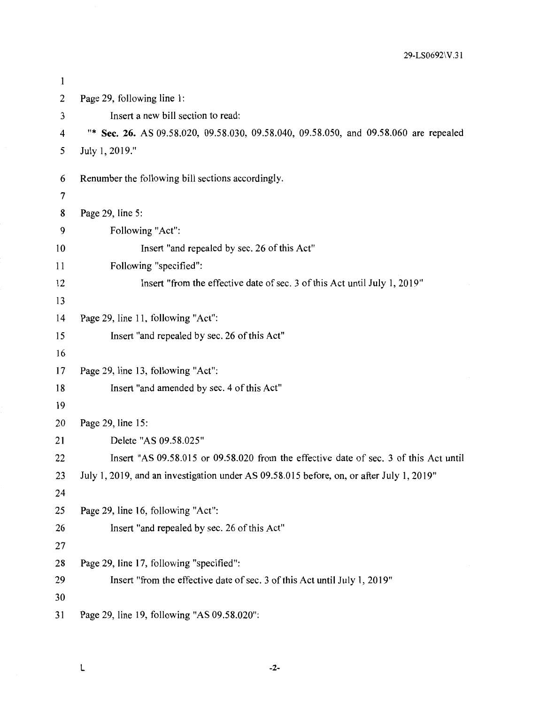| 1  |                                                                                          |
|----|------------------------------------------------------------------------------------------|
| 2  | Page 29, following line 1:                                                               |
| 3  | Insert a new bill section to read:                                                       |
| 4  | "* Sec. 26. AS 09.58.020, 09.58.030, 09.58.040, 09.58.050, and 09.58.060 are repealed    |
| 5  | July 1, 2019."                                                                           |
| 6  | Renumber the following bill sections accordingly.                                        |
| 7  |                                                                                          |
| 8  | Page 29, line 5:                                                                         |
| 9  | Following "Act":                                                                         |
| 10 | Insert "and repealed by sec. 26 of this Act"                                             |
| 11 | Following "specified":                                                                   |
| 12 | Insert "from the effective date of sec. 3 of this Act until July 1, 2019"                |
| 13 |                                                                                          |
| 14 | Page 29, line 11, following "Act":                                                       |
| 15 | Insert "and repealed by sec. 26 of this Act"                                             |
| 16 |                                                                                          |
| 17 | Page 29, line 13, following "Act":                                                       |
| 18 | Insert "and amended by sec. 4 of this Act"                                               |
| 19 |                                                                                          |
| 20 | Page 29, line 15:                                                                        |
| 21 | Delete "AS 09.58.025"                                                                    |
| 22 | Insert "AS 09.58.015 or 09.58.020 from the effective date of sec. 3 of this Act until    |
| 23 | July 1, 2019, and an investigation under AS 09.58.015 before, on, or after July 1, 2019" |
| 24 |                                                                                          |
| 25 | Page 29, line 16, following "Act":                                                       |
| 26 | Insert "and repealed by sec. 26 of this Act"                                             |
| 27 |                                                                                          |
| 28 | Page 29, line 17, following "specified":                                                 |
| 29 | Insert "from the effective date of sec. 3 of this Act until July 1, 2019"                |
| 30 |                                                                                          |
| 31 | Page 29, line 19, following "AS 09.58.020":                                              |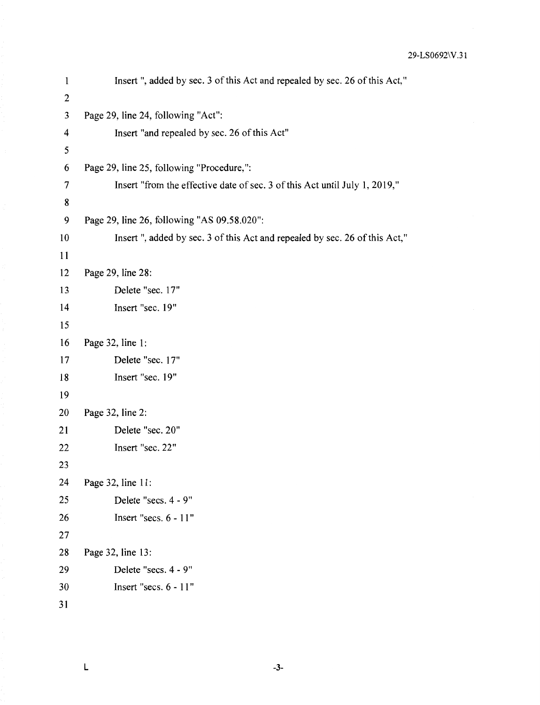| $\mathbf{1}$ | Insert ", added by sec. 3 of this Act and repealed by sec. 26 of this Act," |
|--------------|-----------------------------------------------------------------------------|
| $\mathbf{2}$ |                                                                             |
| 3            | Page 29, line 24, following "Act":                                          |
| 4            | Insert "and repealed by sec. 26 of this Act"                                |
| 5            |                                                                             |
| 6            | Page 29, line 25, following "Procedure,":                                   |
| 7            | Insert "from the effective date of sec. 3 of this Act until July 1, 2019,"  |
| 8            |                                                                             |
| 9            | Page 29, line 26, following "AS 09.58.020":                                 |
| 10           | Insert", added by sec. 3 of this Act and repealed by sec. 26 of this Act,"  |
| 11           |                                                                             |
| 12           | Page 29, line 28:                                                           |
| 13           | Delete "sec. 17"                                                            |
| 14           | Insert "sec. 19"                                                            |
| 15           |                                                                             |
| 16           | Page 32, line 1:                                                            |
| 17           | Delete "sec. 17"                                                            |
| 18           | Insert "sec. 19"                                                            |
| 19           |                                                                             |
| 20           | Page 32, line 2:                                                            |
| 21           | Delete "sec. 20"                                                            |
| 22           | Insert "sec. 22"                                                            |
| 23           |                                                                             |
| 24           | Page 32, line 11:                                                           |
| 25           | Delete "secs. 4 - 9"                                                        |
| 26           | Insert "secs. 6 - 11"                                                       |
| 27           |                                                                             |
| 28           | Page 32, line 13:                                                           |
| 29           | Delete "secs. 4 - 9"                                                        |
| 30           | Insert "secs. 6 - 11"                                                       |
| 31           |                                                                             |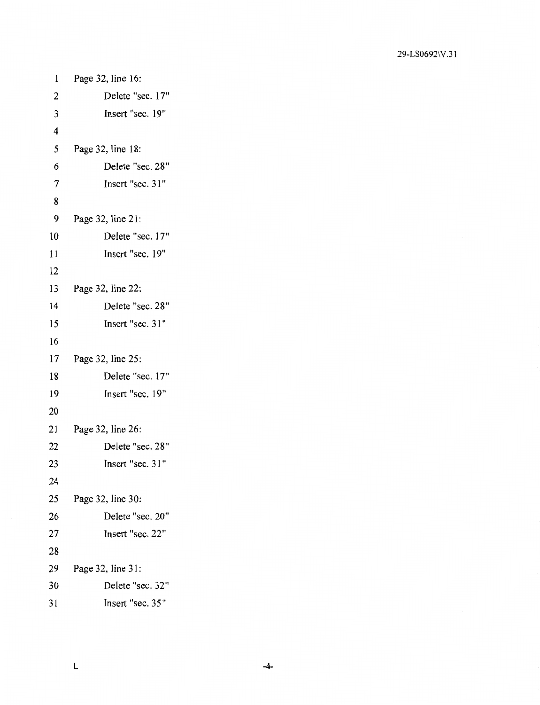| 1              | Page 32, line 16: |
|----------------|-------------------|
| $\overline{c}$ | Delete "sec. 17"  |
| 3              | Insert "sec. 19"  |
| 4              |                   |
| 5              | Page 32, line 18: |
| 6              | Delete "sec. 28"  |
| $\overline{7}$ | Insert "sec. 31"  |
| 8              |                   |
| 9              | Page 32, line 21: |
| 10             | Delete "sec. 17"  |
| 11             | Insert "sec. 19"  |
| 12             |                   |
| 13             | Page 32, line 22: |
| 14             | Delete "sec. 28"  |
| 15             | Insert "sec. 31"  |
| 16             |                   |
| 17             | Page 32, line 25: |
| 18             | Delete "sec. 17"  |
| 19             | Insert "sec. 19"  |
| 20             |                   |
| 21             | Page 32, line 26: |
| 22             | Delete "sec. 28"  |
| 23             | Insert "sec. 31"  |
| 24             |                   |
| 25             | Page 32, line 30: |
| 26             | Delete "sec. 20"  |
| 27             | Insert "sec. 22"  |
| 28             |                   |
| 29             | Page 32, line 31: |
| 30             | Delete "sec. 32"  |
| 31             | Insert "sec. 35"  |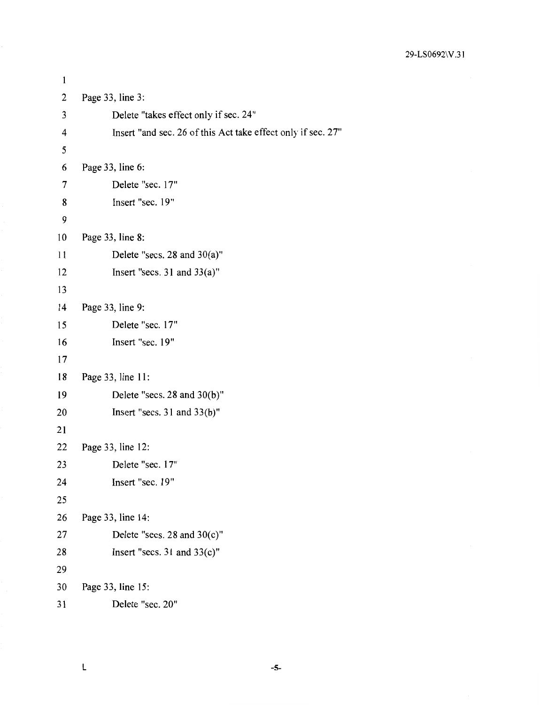```
\mathbf{1}2 Page 33, line 3: 
3 Delete "takes effect only if sec. 24" 
4 Insert "and sec. 26 of this Act take effect only if sec. 27" 
 5 
6 Page 33, line 6: 
 7 Delete "sec. 17" 
 8 Insert "sec. 19" 
9 
10 Page 33, line 8: 
11 Delete "secs. 28 and 30(a)" 
12 Insert "secs. 31 and 33(a)"
13 
14 Page 33, line 9: 
15 Delete "sec. 17" 
16 Insert "sec. 19" 
17 
18 Page 33, line 11: 
19 Delete "secs. 28 and 30(b)" 
20 Insert "secs. 31 and 33(b)"
21 
22 Page 33, line 12: 
23 Delete "sec. 17" 
24 Insert "sec. 19" 
25 
26 Page 33, line 14: 
27 Delete "secs. 28 and 30(c)" 
28 Insert "secs. 31 and 33(c)"
29 
30 Page 33, line 15: 
31 Delete "sec. 20"
```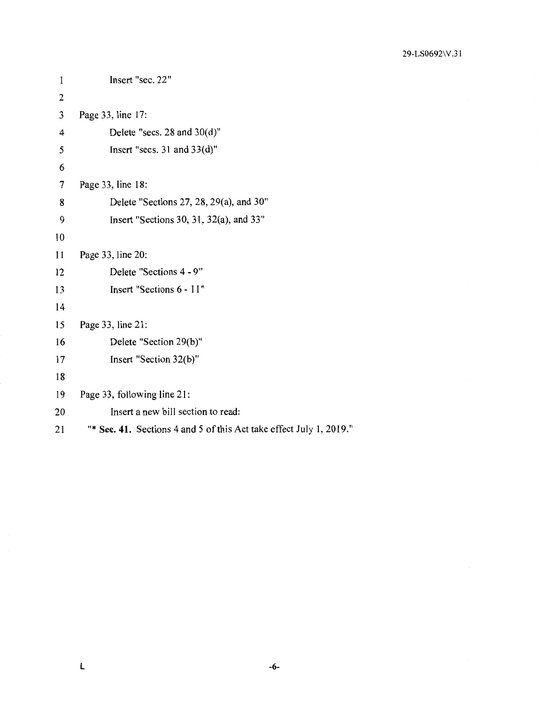29-LS0692\V.3 l

```
1 Insert "sec. 22"
2 
3 Page 33, line 17: 
4 Delete "secs. 28 and 30(d)" 
5 Insert "secs. 31 and 33(d)"
6 
7 Page 33, line 18: 
8 Delete "Sections 27, 28, 29(a), and 30" 
9 Insert "Sections 30, 31, 32(a), and 33" 
10 
11 Page 33, line 20: 
12 Delete "Sections 4 - 9" 
13 Insert "Sections 6 - 11" 
14 
15 Page 33, line 21: 
16 Delete "Section 29(b)" 
17 Insert "Section 32(b)"
18 
19 Page 33, following line 21: 
20 Insert a new bill section to read: 
21 "* Sec. 41. Sections 4 and 5 of this Act take effect July 1, 2019."
```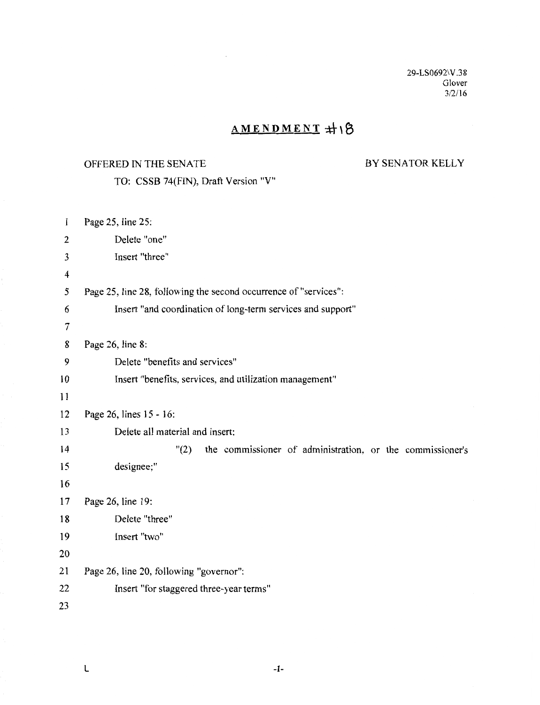29-LS0692\V .38 Glover 3/2/16

## AMENDMENT #18

## OFFERED IN THE SENATE

## BY SENATOR KELLY

| $\mathbf{1}$            | Page 25, line 25:                                                 |
|-------------------------|-------------------------------------------------------------------|
| $\overline{2}$          | Delete "one"                                                      |
| 3                       | Insert "three"                                                    |
| $\overline{\mathbf{4}}$ |                                                                   |
| 5                       | Page 25, line 28, following the second occurrence of "services":  |
| 6                       | Insert "and coordination of long-term services and support"       |
| 7                       |                                                                   |
| 8                       | Page 26, line 8:                                                  |
| 9                       | Delete "benefits and services"                                    |
| 10                      | Insert "benefits, services, and utilization management"           |
| 11                      |                                                                   |
| 12                      | Page 26, lines 15 - 16:                                           |
| 13                      | Delete all material and insert:                                   |
| 14                      | "(2)<br>the commissioner of administration, or the commissioner's |
| 15                      | designee;"                                                        |
| 16                      |                                                                   |
| 17                      | Page 26, line 19:                                                 |
| 18                      | Delete "three"                                                    |
| 19                      | Insert "two"                                                      |
| 20                      |                                                                   |
| 21                      | Page 26, line 20, following "governor":                           |
| 22                      | Insert "for staggered three-year terms"                           |
| 23                      |                                                                   |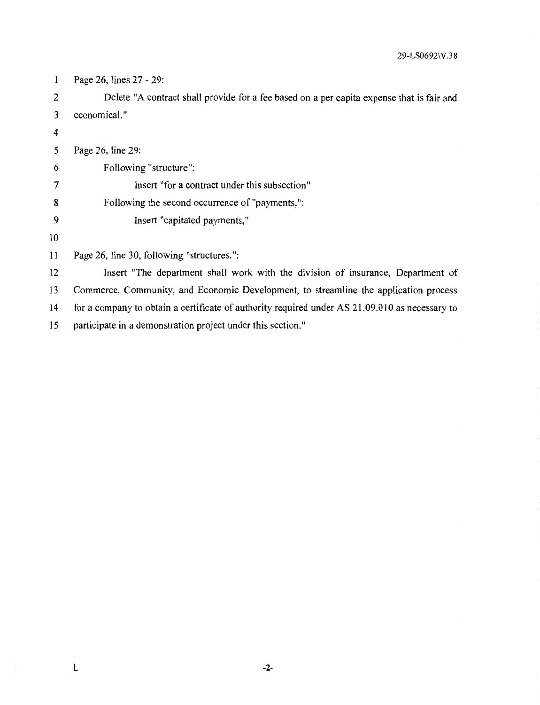29-LS0692\ V .3 8

| 1              | Page 26, lines 27 - 29:                                                                        |
|----------------|------------------------------------------------------------------------------------------------|
| $\overline{2}$ | Delete "A contract shall provide for a fee based on a per capita expense that is fair and      |
| 3              | economical."                                                                                   |
| 4              |                                                                                                |
| 5              | Page 26, line 29:                                                                              |
| 6              | Following "structure":                                                                         |
|                | Insert "for a contract under this subsection"                                                  |
| 8              | Following the second occurrence of "payments,":                                                |
| 9              | Insert "capitated payments,"                                                                   |
| 10             |                                                                                                |
| 11             | Page 26, line 30, following "structures.":                                                     |
| 12             | Insert "The department shall work with the division of insurance, Department of                |
| 13             | Commerce, Community, and Economic Development, to streamline the application process           |
| 14             | for a company to obtain a certificate of authority required under AS 21.09.010 as necessary to |

15 participate in a demonstration project under this section."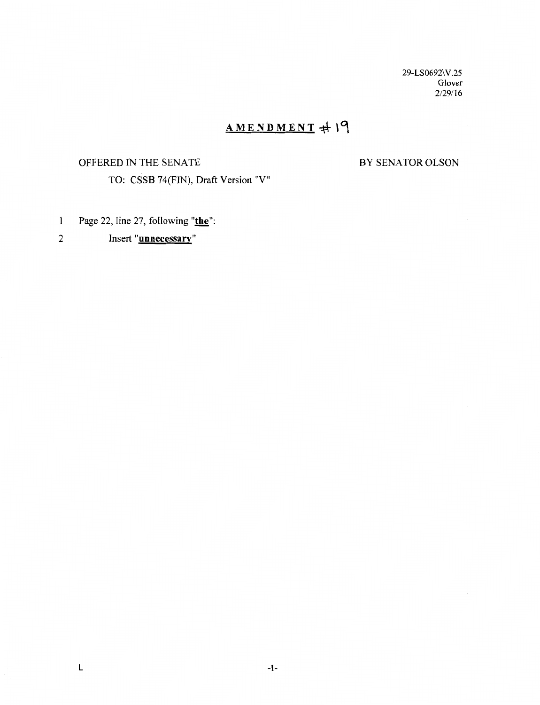29-LS0692\V.25 Glover 2/29/16

## $AMENDMENT + 19$

#### OFFERED IN THE SENATE

BY SENATOR OLSON

- Page 22, line 27, following "**the**":  $\mathbf{1}$
- 2 Insert **"unnecessary"**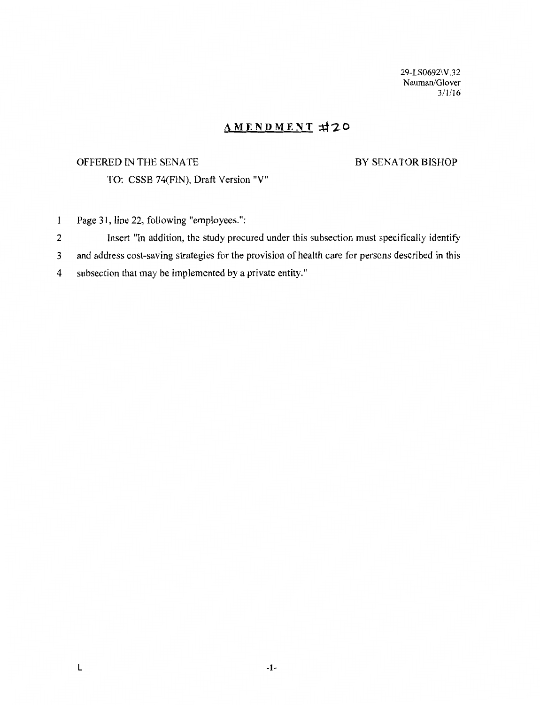29-LS0692\V.32 Nauman/Glover 3/1/16

## **AMENDMENT** ~-:2.0

### OFFERED IN THE SENATE

#### BY SENATOR BISHOP

- Page 31, line 22, following "employees.":  $\mathbf{1}$
- 2 Insert "In addition, the study procured under this subsection must specifically identify
- 3 and address cost-saving strategies for the provision of health care for persons described in this
- 4 subsection that may be implemented by a private entity."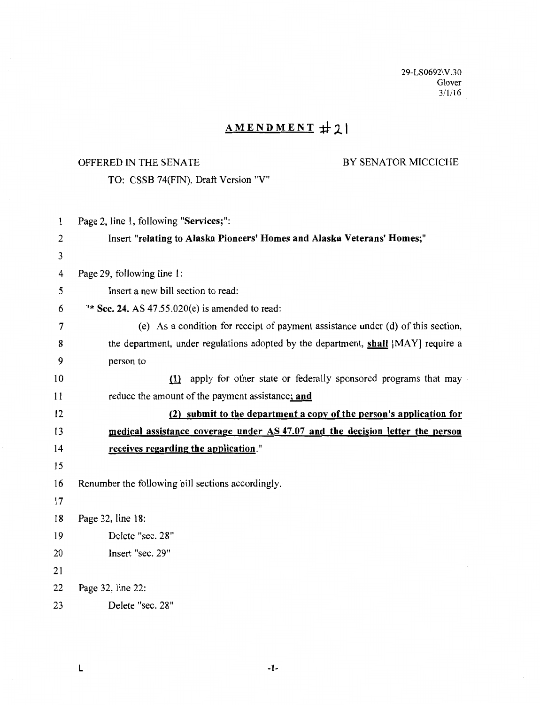29-LS0692\V.30 Glover  $3/1/16$ 

## AMENDMENT #21

## OFFERED IN THE SENATE BY SENATOR MICCICHE

TO: CSSB 74(FIN), Draft Version "V"

| 1  | Page 2, line 1, following "Services;":                                             |
|----|------------------------------------------------------------------------------------|
| 2  | Insert "relating to Alaska Pioneers' Homes and Alaska Veterans' Homes;"            |
| 3  |                                                                                    |
| 4  | Page 29, following line 1:                                                         |
| 5  | Insert a new bill section to read:                                                 |
| 6  | "* Sec. 24. AS $47.55.020(e)$ is amended to read:                                  |
| 7  | (e) As a condition for receipt of payment assistance under (d) of this section,    |
| 8  | the department, under regulations adopted by the department, shall [MAY] require a |
| 9  | person to                                                                          |
| 10 | (1) apply for other state or federally sponsored programs that may                 |
| 11 | reduce the amount of the payment assistance; and                                   |
| 12 | (2) submit to the department a copy of the person's application for                |
| 13 | medical assistance coverage under AS 47.07 and the decision letter the person      |
| 14 | receives regarding the application."                                               |
| 15 |                                                                                    |
| 16 | Renumber the following bill sections accordingly.                                  |
| 17 |                                                                                    |
| 18 | Page 32, line 18:                                                                  |
| 19 | Delete "sec. 28"                                                                   |
| 20 | Insert "sec. 29"                                                                   |
| 21 |                                                                                    |
| 22 | Page 32, line 22:                                                                  |
| 23 | Delete "sec. 28"                                                                   |

 $\mathsf{L}$  -1.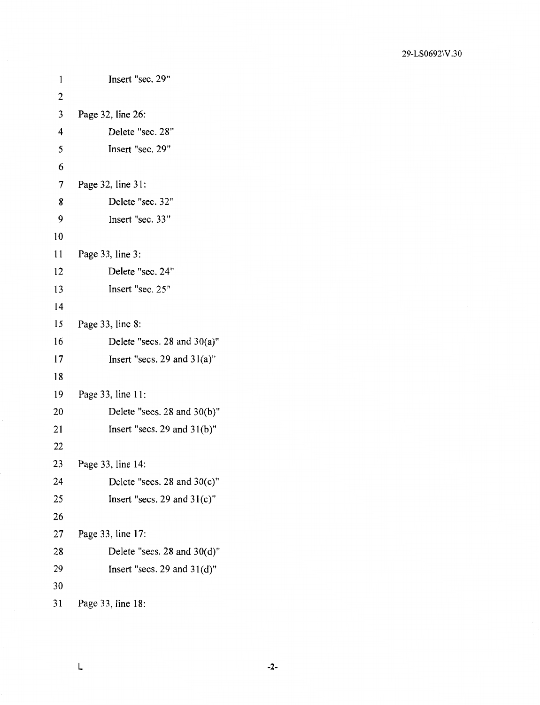| 1              | Insert "sec. 29"                 |
|----------------|----------------------------------|
| $\overline{c}$ |                                  |
| 3              | Page 32, line 26:                |
| 4              | Delete "sec. 28"                 |
| 5              | Insert "sec. 29"                 |
| 6              |                                  |
| 7              | Page 32, line 31:                |
| 8              | Delete "sec. 32"                 |
| 9              | Insert "sec. 33"                 |
| 10             |                                  |
| 11             | Page 33, line 3:                 |
| 12             | Delete "sec. 24"                 |
| 13             | Insert "sec. 25"                 |
| 14             |                                  |
| 15             | Page 33, line 8:                 |
| 16             | Delete "secs. 28 and $30(a)$ "   |
| 17             | Insert "secs. 29 and $31(a)$ "   |
| 18             |                                  |
| 19             | Page 33, line 11:                |
| 20             | Delete "secs. $28$ and $30(b)$ " |
| 21             | Insert "secs. 29 and $31(b)$ "   |
| 22             |                                  |
| 23             | Page 33, line 14:                |
| 24             | Delete "secs. 28 and $30(c)$ "   |
| 25             | Insert "secs. 29 and $31(c)$ "   |
| 26             |                                  |
| 27             | Page 33, line 17:                |
| 28             | Delete "secs. 28 and $30(d)$ "   |
| 29             | Insert "secs. 29 and $31(d)$ "   |
| 30             |                                  |
| 31             | Page 33, line 18:                |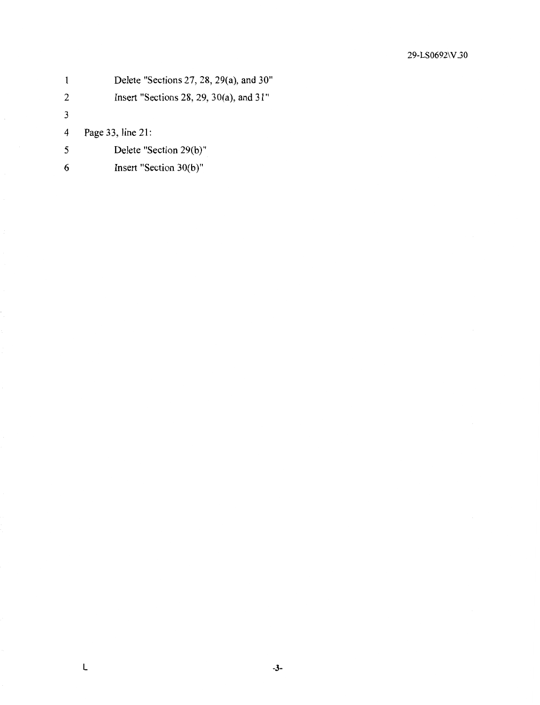|               | Delete "Sections 27, 28, 29(a), and 30"   |
|---------------|-------------------------------------------|
| 2             | Insert "Sections 28, 29, 30(a), and $31"$ |
| $\mathcal{F}$ |                                           |
| 4             | Page 33, line 21:                         |
| -5            | Delete "Section 29(b)"                    |
|               | Insert "Section 30(b)"                    |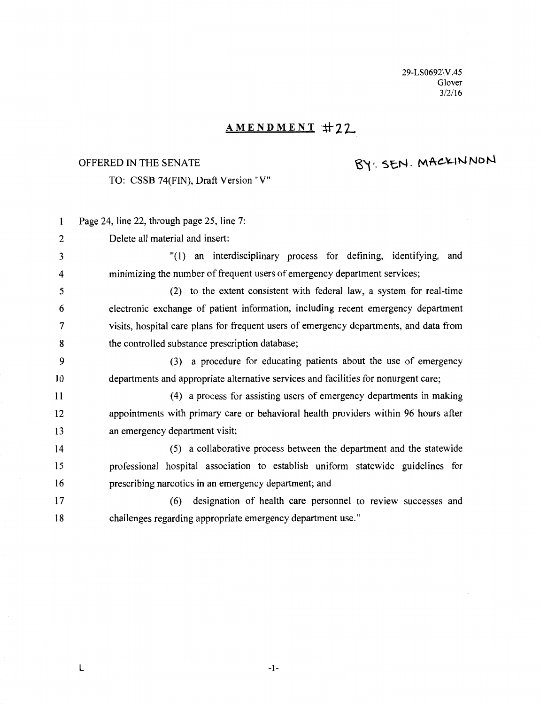29-LS0692\V.45 Glover 3/2/16

## **AMENDMENT #22**

## OFFERED IN THE SENATE

# BY: SEN. MACKINNON

TO: CSSB 74(FIN), Draft Version "V"

| 1  | Page 24, line 22, through page 25, line 7:                                             |
|----|----------------------------------------------------------------------------------------|
| 2  | Delete all material and insert:                                                        |
| 3  | "(1) an interdisciplinary process for defining, identifying, and                       |
| 4  | minimizing the number of frequent users of emergency department services;              |
| 5  | (2) to the extent consistent with federal law, a system for real-time                  |
| 6  | electronic exchange of patient information, including recent emergency department      |
| 7  | visits, hospital care plans for frequent users of emergency departments, and data from |
| 8  | the controlled substance prescription database;                                        |
| 9  | (3) a procedure for educating patients about the use of emergency                      |
| 10 | departments and appropriate alternative services and facilities for nonurgent care;    |
| 11 | (4) a process for assisting users of emergency departments in making                   |
| 12 | appointments with primary care or behavioral health providers within 96 hours after    |
| 13 | an emergency department visit;                                                         |
| 14 | (5) a collaborative process between the department and the statewide                   |
| 15 | professional hospital association to establish uniform statewide guidelines for        |
| 16 | prescribing narcotics in an emergency department; and                                  |
| 17 | designation of health care personnel to review successes and<br>(6)                    |
| 18 | challenges regarding appropriate emergency department use."                            |

**-1-**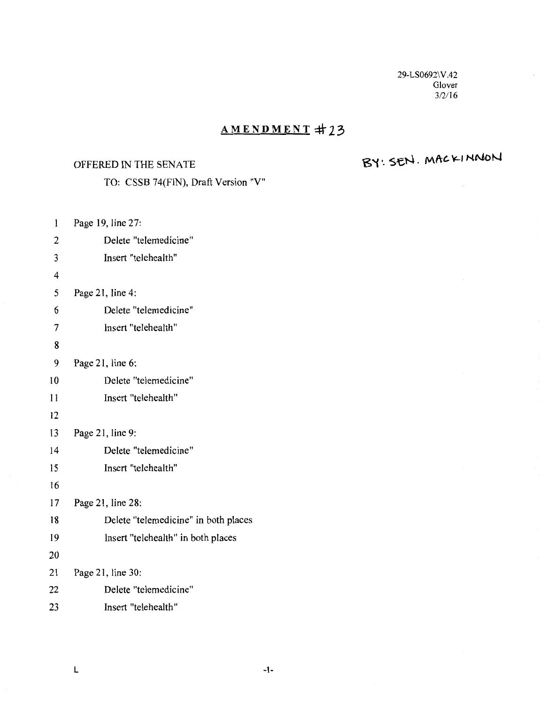29-LS0692\V.42 Glover *312116* 

## **AMENDMENT =t:f 23**

### OFFERED IN THE SENATE

# $BY: SEM. MACKIM$

TO: CSSB 74(FIN), Draft Version "V"

1 Page 19, line  $27$ 

| ı              | r agu 19, miu $\mathcal{L}/$ .       |
|----------------|--------------------------------------|
| 2              | Delete "telemedicine"                |
| 3              | Insert "telehealth"                  |
| $\overline{4}$ |                                      |
| 5              | Page 21, line 4:                     |
| 6              | Delete "telemedicine"                |
| 7              | Insert "telehealth"                  |
| 8              |                                      |
| 9              | Page 21, line $6$ :                  |
| 10             | Delete "telemedicine"                |
| 11             | Insert "telehealth"                  |
| 12             |                                      |
| 13             | Page 21, line 9:                     |
| 14             | Delete "telemedicine"                |
| 15             | Insert "telehealth"                  |
| 16             |                                      |
| 17             | Page 21, line 28:                    |
| 18             | Delete "telemedicine" in both places |
| 19             | Insert "telehealth" in both places   |
| 20             |                                      |
| 21             | Page 21, line 30:                    |
| 22             | Delete "telemedicine"                |
| 23             | Insert "telehealth"                  |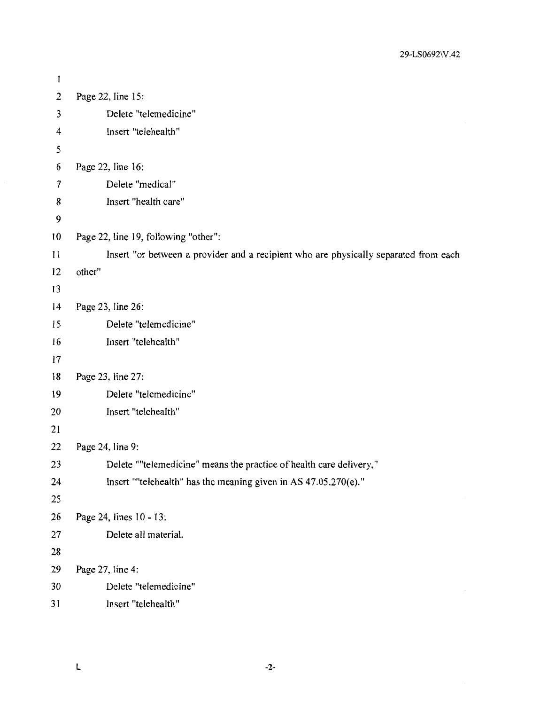| $\mathbf{1}$   |                                                                                      |
|----------------|--------------------------------------------------------------------------------------|
| $\overline{2}$ | Page 22, line 15:                                                                    |
| 3              | Delete "telemedicine"                                                                |
| 4              | Insert "telehealth"                                                                  |
| 5              |                                                                                      |
| 6              | Page 22, line 16:                                                                    |
| 7              | Delete "medical"                                                                     |
| 8              | Insert "health care"                                                                 |
| 9              |                                                                                      |
| 10             | Page 22, line 19, following "other":                                                 |
| 11             | Insert "or between a provider and a recipient who are physically separated from each |
| 12             | other"                                                                               |
| 13             |                                                                                      |
| 14             | Page 23, line 26:                                                                    |
| 15             | Delete "telemedicine"                                                                |
| 16             | Insert "telehealth"                                                                  |
| 17             |                                                                                      |
| 18             | Page 23, line 27:                                                                    |
| 19             | Delete "telemedicine"                                                                |
| 20             | Insert "telehealth"                                                                  |
| 21             |                                                                                      |
| 22             | Page 24, line 9:                                                                     |
| 23             | Delete ""telemedicine" means the practice of health care delivery,"                  |
| 24             | Insert ""telehealth" has the meaning given in AS 47.05.270(e)."                      |
| 25             |                                                                                      |
| 26             | Page 24, lines 10 - 13:                                                              |
| 27             | Delete all material.                                                                 |
| 28             |                                                                                      |
| 29             | Page 27, line 4:                                                                     |
| 30             | Delete "telemedicine"                                                                |
| 31             | Insert "telehealth"                                                                  |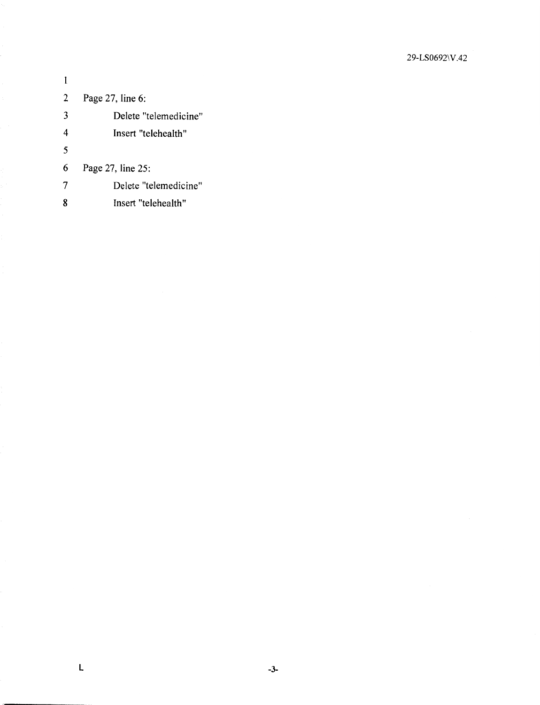| 2 | Page 27, line 6:      |
|---|-----------------------|
| 3 | Delete "telemedicine" |
| 4 | Insert "telehealth"   |
| 5 |                       |
| 6 | Page 27, line 25:     |
|   | Delete "telemedicine" |
| 8 | Insert "telehealth"   |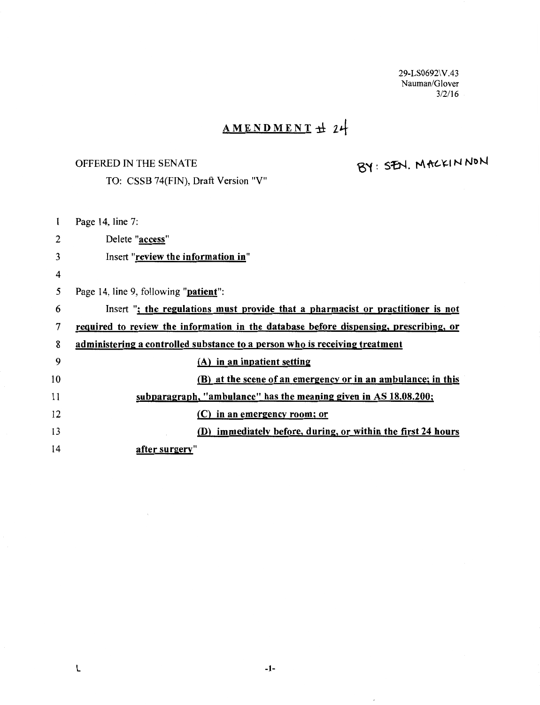29-LS0692\V.43 Nauman/Glover  $3/2/16$ 

# AMENDMENT 1± *t4*

## OFFERED IN THE SENATE

TO: CSSB 74(FIN), Draft Version "V"

# BY: SEN. MACKINNON

| 1  | Page 14, line 7:                                                                      |
|----|---------------------------------------------------------------------------------------|
| 2  | Delete "access"                                                                       |
| 3  | Insert "review the information in"                                                    |
| 4  |                                                                                       |
| 5  | Page 14, line 9, following " <b>patient</b> ":                                        |
| 6  | Insert "; the regulations must provide that a pharmacist or practitioner is not       |
| 7  | required to review the information in the database before dispensing, prescribing, or |
| 8  | administering a controlled substance to a person who is receiving treatment           |
| 9  | (A) in an inpatient setting                                                           |
| 10 | (B) at the scene of an emergency or in an ambulance; in this                          |
| 11 | subparagraph, "ambulance" has the meaning given in AS 18.08.200;                      |
| 12 | (C) in an emergency room; or                                                          |
| 13 | (D) immediately before, during, or within the first 24 hours                          |
| 14 | after surgery"                                                                        |
|    |                                                                                       |

 $\overline{\phantom{a}}$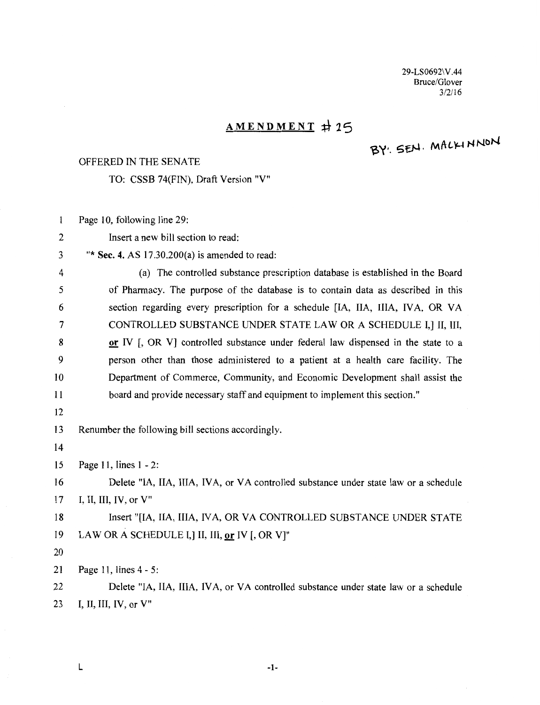29-LS0692\ V.44 Bruce/Glover *312116* 

## **AMENDMENT +\- 25**

# BY: SEN. MALKINNON

#### OFFERED IN THE SENATE

TO: CSSB 74(FIN), Draft Version "V"

 $\mathbf{1}$ Page 10, following line 29:

- 2 Insert a new bill section to read:
- 3 "\* **Sec. 4.** AS 17.30.200(a) is amended to read:

4 (a) The controlled substance prescription database is established in the Board 5 of Pharmacy. The purpose of the database is to contain data as described in this 6 section regarding every prescription for a schedule [IA, IIA, IIIA, IVA, OR VA 7 CONTROLLED SUBSTANCE UNDER STATE LAW OR A SCHEDULE I, I II, III, 8 **a or** IV [, OR V] controlled substance under federal law dispensed in the state to a 9 person other than those administered to a patient at a health care facility. The 10 Department of Commerce, Community, and Economic Development shall assist the 11 board and provide necessary staff and equipment to implement this section." 12

13 Renumber the following bill sections accordingly.

14

15 Page 11, lines **1** - 2:

16 Delete "IA, IIA, IIIA, IVA, or VA controlled substance under state law or a schedule 17 I, II, III, IV, or V"

18 Insert "[IA, IIA, IIIA, IVA, OR VA CONTROLLED SUBSTANCE UNDER STATE 19 LAW OR A SCHEDULE I,] II, III, or IV [, OR V]"

20

21 Page 11, lines 4 - 5:

22 Delete "IA, IIA, IIIA, IVA, or VA controlled substance under state law or a schedule 23 I, II, III, IV, or V"

**L** -1-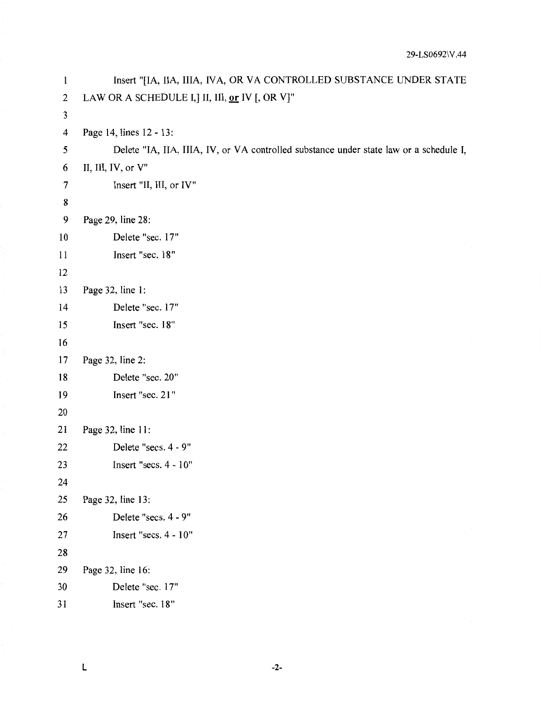| $\mathbf{1}$     | Insert "[IA, IIA, IIIA, IVA, OR VA CONTROLLED SUBSTANCE UNDER STATE                    |
|------------------|----------------------------------------------------------------------------------------|
| $\boldsymbol{2}$ | LAW OR A SCHEDULE I,] II, III, or IV [, OR V]"                                         |
| 3                |                                                                                        |
| 4                | Page 14, lines 12 - 13:                                                                |
| 5                | Delete "IA, IIA, IIIA, IV, or VA controlled substance under state law or a schedule I, |
| 6                | II, III, IV, or V"                                                                     |
| 7                | Insert "II, III, or IV"                                                                |
| 8                |                                                                                        |
| 9                | Page 29, line 28:                                                                      |
| 10               | Delete "sec. 17"                                                                       |
| 11               | Insert "sec. 18"                                                                       |
| 12               |                                                                                        |
| 13               | Page 32, line 1:                                                                       |
| 14               | Delete "sec. 17"                                                                       |
| 15               | Insert "sec. 18"                                                                       |
| 16               |                                                                                        |
| 17               | Page 32, line 2:                                                                       |
| 18               | Delete "sec. 20"                                                                       |
| 19               | Insert "sec. 21"                                                                       |
| 20               |                                                                                        |
| 21               | Page 32, line 11:                                                                      |
| 22               | Delete "secs. 4 - 9"                                                                   |
| 23               | Insert "secs. $4 - 10"$                                                                |
| 24               |                                                                                        |
| 25               | Page 32, line 13:                                                                      |
| 26               | Delete "secs. 4 - 9"                                                                   |
| 27               | Insert "secs. 4 - 10"                                                                  |
| 28               |                                                                                        |
| 29               | Page 32, line 16:                                                                      |
| 30               | Delete "sec. 17"                                                                       |
| 31               | Insert "sec. 18"                                                                       |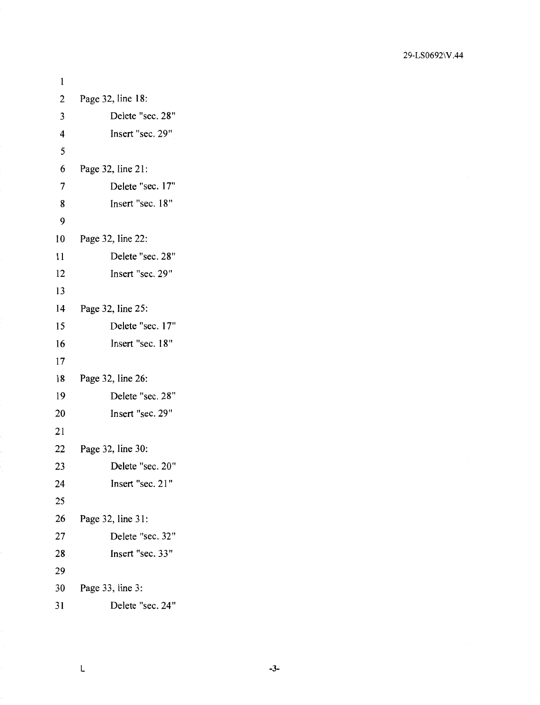| 1              |                   |
|----------------|-------------------|
| $\overline{c}$ | Page 32, line 18: |
| 3              | Delete "sec. 28"  |
| 4              | Insert "sec. 29"  |
| 5              |                   |
| 6              | Page 32, line 21: |
| $\overline{7}$ | Delete "sec. 17"  |
| 8              | Insert "sec. 18"  |
| 9              |                   |
| 10             | Page 32, line 22: |
| 11             | Delete "sec. 28"  |
| 12             | Insert "sec. 29"  |
| 13             |                   |
| 14             | Page 32, line 25: |
| 15             | Delete "sec. 17"  |
| 16             | Insert "sec. 18"  |
| 17             |                   |
| 18             | Page 32, line 26: |
| 19             | Delete "sec. 28"  |
| 20             | Insert "sec. 29"  |
| 21             |                   |
| 22             | Page 32, line 30: |
| 23             | Delete "sec. 20"  |
| 24             | Insert "sec. 21"  |
| 25             |                   |
| 26             | Page 32, line 31: |
| 27             | Delete "sec. 32"  |
| 28             | Insert "sec. 33"  |
| 29             |                   |
| 30             | Page 33, line 3:  |
| 31             | Delete "sec. 24"  |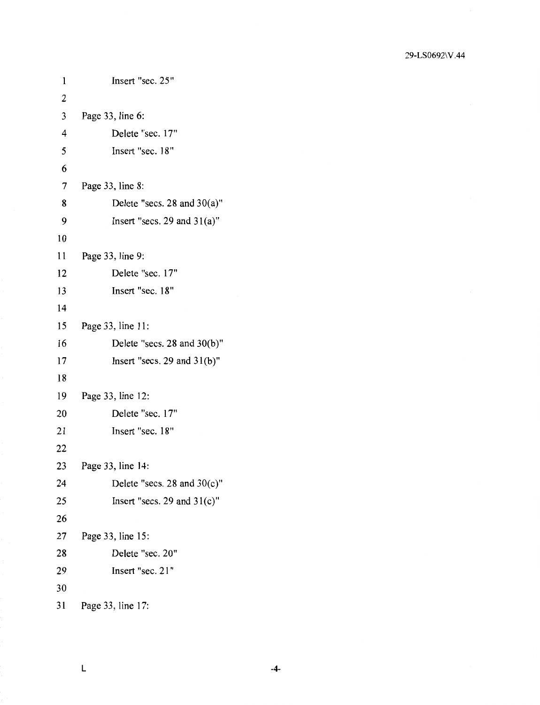| $\mathbf{1}$ | Insert "sec. 25"                 |
|--------------|----------------------------------|
| 2            |                                  |
| 3            | Page 33, line 6:                 |
| 4            | Delete "sec. 17"                 |
| 5            | Insert "sec. 18"                 |
| 6            |                                  |
| 7            | Page 33, line 8:                 |
| 8            | Delete "secs. $28$ and $30(a)$ " |
| 9            | Insert "secs. 29 and $31(a)$ "   |
| 10           |                                  |
| 11           | Page 33, line 9:                 |
| 12           | Delete "sec. 17"                 |
| 13           | Insert "sec. 18"                 |
| 14           |                                  |
| 15           | Page 33, line 11:                |
| 16           | Delete "secs. 28 and 30(b)"      |
| 17           | Insert "secs. 29 and $31(b)$ "   |
| 18           |                                  |
| 19           | Page 33, line 12:                |
| 20           | Delete "sec. 17"                 |
| 21           | Insert "sec. 18"                 |
| 22           |                                  |
| 23           | Page 33, line 14:                |
| 24           | Delete "secs. 28 and $30(c)$ "   |
| 25           | Insert "secs. 29 and $31(c)$ "   |
| 26           |                                  |
| 27           | Page 33, line 15:                |
| 28           | Delete "sec. 20"                 |
| 29           | Insert "sec. 21"                 |
| 30           |                                  |
| 31           | Page 33, line 17:                |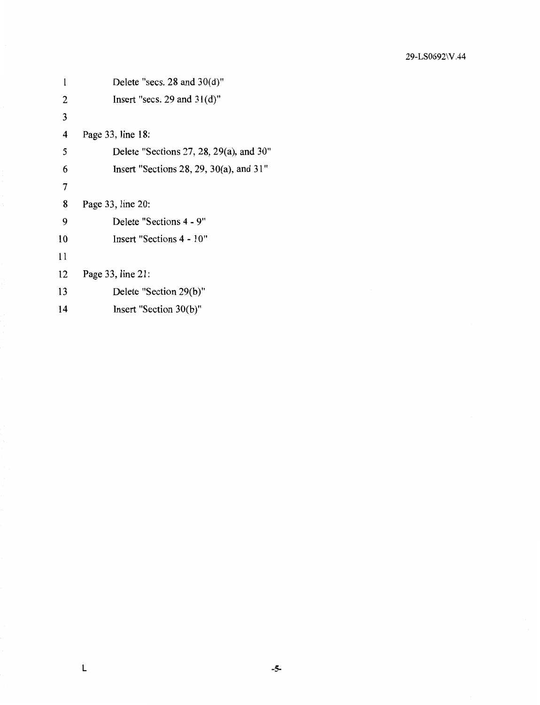| l  | Delete "secs. $28$ and $30(d)$ "          |
|----|-------------------------------------------|
| 2  | Insert "secs. 29 and $31(d)$ "            |
| 3  |                                           |
| 4  | Page 33, line 18:                         |
| 5  | Delete "Sections 27, 28, 29(a), and 30"   |
| 6  | Insert "Sections 28, 29, 30(a), and $31"$ |
| 7  |                                           |
| 8  | Page 33, line 20:                         |
| 9  | Delete "Sections 4 - 9"                   |
| 10 | Insert "Sections 4 - 10"                  |
| 11 |                                           |
| 12 | Page 33, line 21:                         |
| 13 | Delete "Section 29(b)"                    |
| 14 | Insert "Section 30(b)"                    |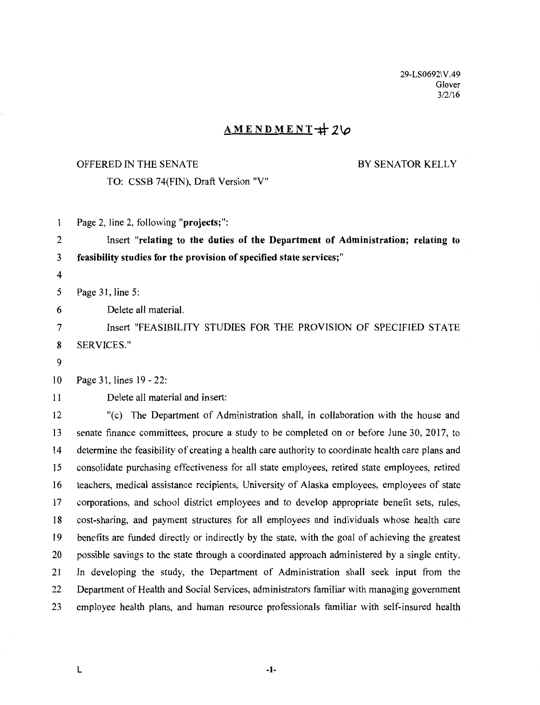29-LS0692\V .49 Glover  $3/2/16$ 

## $AMENDMENT+20$

#### OFFERED IN THE SENATE

BY SENATOR KELLY

TO: CSSB 74(FIN), Draft Version "V"

Page 2, line 2, following **"projects;":**   $\mathbf{1}$ 

2 Insert **"relating to the duties of the Department of Administration; relating to**  3 **feasibility studies for the provision of specified state services;"** 

4

5 Page 31, line 5:

6 Delete all material.

7 Insert "FEASIBILITY STUDIES FOR THE PROVISION OF SPECIFIED STATE 8 SERVICES."

9

10 Page 31, lines 19-22:

11 Delete all material and insert:

12 "(c) The Department of Administration shall, in collaboration with the house and 13 senate finance committees, procure a study to be completed on or before June 30, 2017, to 14 determine the feasibility of creating a health care authority to coordinate health care plans and 15 consolidate purchasing effectiveness for all state employees, retired state employees, retired 16 teachers, medical assistance recipients, University of Alaska employees, employees of state 17 corporations, and school district employees and to develop appropriate benefit sets, rules, 18 cost-sharing, and payment structures for all employees and individuals whose health care 19 benefits are funded directly or indirectly by the state, with the goal of achieving the greatest 20 possible savings to the state through a coordinated approach administered by a single entity. 21 In developing the study, the Department of Administration shall seek input from the 22 Department of Health and Social Services, administrators familiar with managing government 23 employee health plans, and human resource professionals familiar with self-insured health